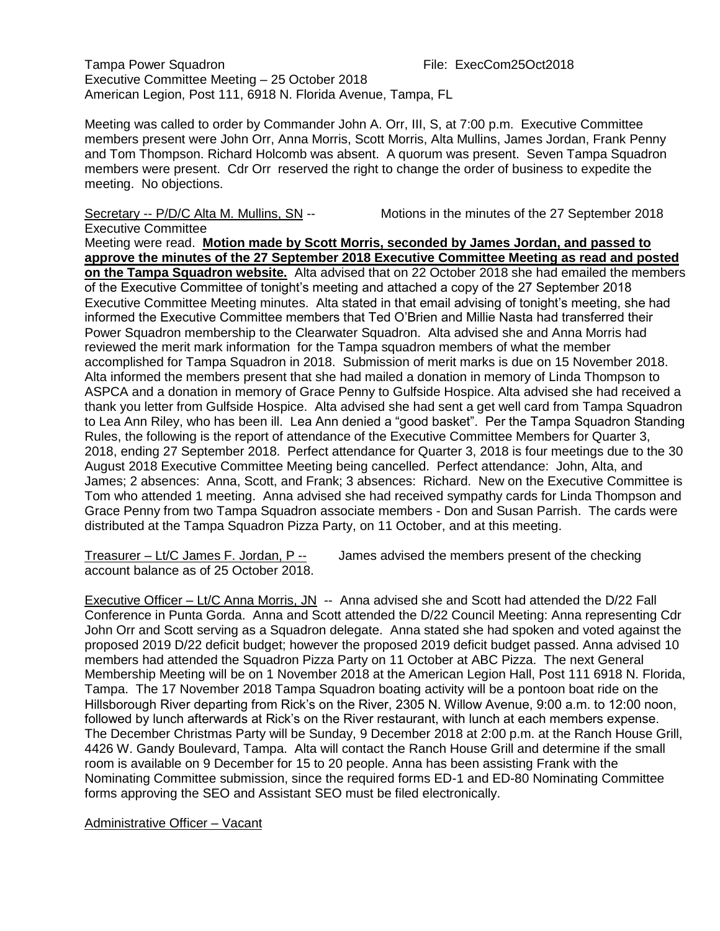Tampa Power Squadron File: ExecCom25Oct2018 Executive Committee Meeting – 25 October 2018 American Legion, Post 111, 6918 N. Florida Avenue, Tampa, FL

Meeting was called to order by Commander John A. Orr, III, S, at 7:00 p.m. Executive Committee members present were John Orr, Anna Morris, Scott Morris, Alta Mullins, James Jordan, Frank Penny and Tom Thompson. Richard Holcomb was absent. A quorum was present. Seven Tampa Squadron members were present. Cdr Orr reserved the right to change the order of business to expedite the meeting. No objections.

Secretary -- P/D/C Alta M. Mullins, SN -- Motions in the minutes of the 27 September 2018

Executive Committee

Meeting were read. **Motion made by Scott Morris, seconded by James Jordan, and passed to approve the minutes of the 27 September 2018 Executive Committee Meeting as read and posted on the Tampa Squadron website.** Alta advised that on 22 October 2018 she had emailed the members of the Executive Committee of tonight's meeting and attached a copy of the 27 September 2018 Executive Committee Meeting minutes. Alta stated in that email advising of tonight's meeting, she had informed the Executive Committee members that Ted O'Brien and Millie Nasta had transferred their Power Squadron membership to the Clearwater Squadron. Alta advised she and Anna Morris had reviewed the merit mark information for the Tampa squadron members of what the member accomplished for Tampa Squadron in 2018. Submission of merit marks is due on 15 November 2018. Alta informed the members present that she had mailed a donation in memory of Linda Thompson to ASPCA and a donation in memory of Grace Penny to Gulfside Hospice. Alta advised she had received a thank you letter from Gulfside Hospice. Alta advised she had sent a get well card from Tampa Squadron to Lea Ann Riley, who has been ill. Lea Ann denied a "good basket". Per the Tampa Squadron Standing Rules, the following is the report of attendance of the Executive Committee Members for Quarter 3, 2018, ending 27 September 2018. Perfect attendance for Quarter 3, 2018 is four meetings due to the 30 August 2018 Executive Committee Meeting being cancelled. Perfect attendance: John, Alta, and James; 2 absences: Anna, Scott, and Frank; 3 absences: Richard. New on the Executive Committee is Tom who attended 1 meeting. Anna advised she had received sympathy cards for Linda Thompson and Grace Penny from two Tampa Squadron associate members - Don and Susan Parrish. The cards were distributed at the Tampa Squadron Pizza Party, on 11 October, and at this meeting.

Treasurer – Lt/C James F. Jordan, P -- James advised the members present of the checking account balance as of 25 October 2018.

Executive Officer – Lt/C Anna Morris, JN -- Anna advised she and Scott had attended the D/22 Fall Conference in Punta Gorda. Anna and Scott attended the D/22 Council Meeting: Anna representing Cdr John Orr and Scott serving as a Squadron delegate. Anna stated she had spoken and voted against the proposed 2019 D/22 deficit budget; however the proposed 2019 deficit budget passed. Anna advised 10 members had attended the Squadron Pizza Party on 11 October at ABC Pizza. The next General Membership Meeting will be on 1 November 2018 at the American Legion Hall, Post 111 6918 N. Florida, Tampa. The 17 November 2018 Tampa Squadron boating activity will be a pontoon boat ride on the Hillsborough River departing from Rick's on the River, 2305 N. Willow Avenue, 9:00 a.m. to 12:00 noon, followed by lunch afterwards at Rick's on the River restaurant, with lunch at each members expense. The December Christmas Party will be Sunday, 9 December 2018 at 2:00 p.m. at the Ranch House Grill, 4426 W. Gandy Boulevard, Tampa. Alta will contact the Ranch House Grill and determine if the small room is available on 9 December for 15 to 20 people. Anna has been assisting Frank with the Nominating Committee submission, since the required forms ED-1 and ED-80 Nominating Committee forms approving the SEO and Assistant SEO must be filed electronically.

Administrative Officer – Vacant